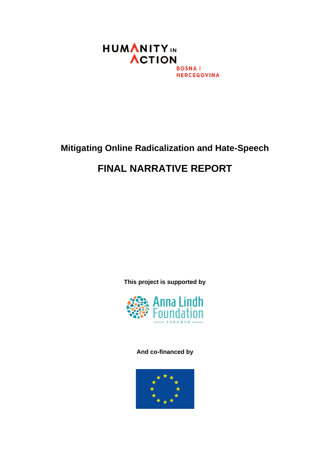

## **Mitigating Online Radicalization and Hate-Speech**

# **FINAL NARRATIVE REPORT**

**This project is supported by** 



### **And co-financed by**

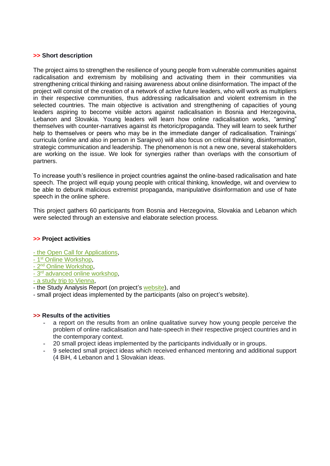#### **>> Short description**

The project aims to strengthen the resilience of young people from vulnerable communities against radicalisation and extremism by mobilising and activating them in their communities via strengthening critical thinking and raising awareness about online disinformation. The impact of the project will consist of the creation of a network of active future leaders, who will work as multipliers in their respective communities, thus addressing radicalisation and violent extremism in the selected countries. The main objective is activation and strengthening of capacities of young leaders aspiring to become visible actors against radicalisation in Bosnia and Herzegovina, Lebanon and Slovakia. Young leaders will learn how online radicalisation works, "arming" themselves with counter-narratives against its rhetoric/propaganda. They will learn to seek further help to themselves or peers who may be in the immediate danger of radicalisation. Trainings' curricula (online and also in person in Sarajevo) will also focus on critical thinking, disinformation, strategic communication and leadership. The phenomenon is not a new one, several stakeholders are working on the issue. We look for synergies rather than overlaps with the consortium of partners.

To increase youth's resilience in project countries against the online-based radicalisation and hate speech. The project will equip young people with critical thinking, knowledge, wit and overview to be able to debunk malicious extremist propaganda, manipulative disinformation and use of hate speech in the online sphere.

This project gathers 60 participants from Bosnia and Herzegovina, Slovakia and Lebanon which were selected through an extensive and elaborate selection process.

#### **>> Project activities**

- [the Open Call for Applications,](https://www.humanityinaction.org/news_item/open-call-mitigating-online-radicalization-and-hate-speech/)
- 1<sup>st</sup> [Online Workshop,](https://www.humanityinaction.org/news_item/1st-online-workshop-of-the-mitigating-online-hate-speech-and-radicalization-program/)
- 2<sup>nd</sup> [Online Workshop,](https://www.humanityinaction.org/news_item/2nd-online-workshop-of-the-mitigating-online-hate-speech-and-radicalization-program/)
- 3<sup>rd</sup> [advanced online workshop,](https://www.humanityinaction.org/news_item/3rd-online-workshop-of-the-mitigating-online-hate-speech-and-radicalization-program/)

- [a study trip to Vienna,](https://www.humanityinaction.org/news_item/mitigating-online-radicalization-and-hate-speech-study-trip-to-vienna/)

- the Study Analysis Report (on project's [website\)](https://www.humanityinaction.org/mitigating-online-radicalization-and-hate-speech/), and
- small project ideas implemented by the participants (also on project's website).

#### **>> Results of the activities**

- **-** a report on the results from an online qualitative survey how young people perceive the problem of online radicalisation and hate-speech in their respective project countries and in the contemporary context.
- **-** 20 small project ideas implemented by the participants individually or in groups.
- **-** 9 selected small project ideas which received enhanced mentoring and additional support (4 BiH, 4 Lebanon and 1 Slovakian ideas.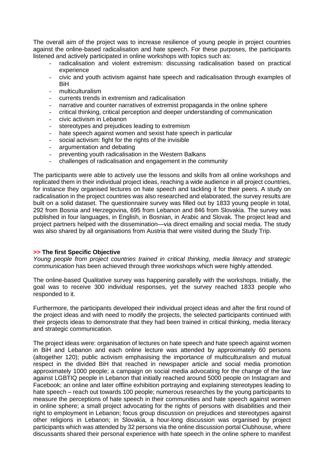The overall aim of the project was to increase resilience of young people in project countries against the online-based radicalisation and hate speech. For these purposes, the participants listened and actively participated in online workshops with topics such as:

- radicalisation and violent extremism: discussing radicalisation based on practical experience
- civic and youth activism against hate speech and radicalisation through examples of BiH
- multiculturalism
- currents trends in extremism and radicalisation
- narrative and counter narratives of extremist propaganda in the online sphere
- critical thinking, critical perception and deeper understanding of communication
- civic activism in Lebanon
- stereotypes and prejudices leading to extremism
- hate speech against women and sexist hate speech in particular
- social activism: fight for the rights of the invisible
- argumentation and debating
- preventing youth radicalisation in the Western Balkans
- challenges of radicalisation and engagement in the community

The participants were able to actively use the lessons and skills from all online workshops and replicated them in their individual project ideas, reaching a wide audience in all project countries, for instance they organised lectures on hate speech and tackling it for their peers. A study on radicalisation in the project countries was also researched and elaborated, the survey results are built on a solid dataset. The questionnaire survey was filled out by 1833 young people in total, 292 from Bosnia and Herzegovina, 695 from Lebanon and 846 from Slovakia. The survey was published in four languages, in English, in Bosnian, in Arabic and Slovak. The project lead and project partners helped with the dissemination—via direct emailing and social media. The study was also shared by all organisations from Austria that were visited during the Study Trip.

#### **>> The first Specific Objective**

*Young people from project countries trained in critical thinking, media literacy and strategic communication* has been achieved through three workshops which were highly attended.

The online-based Qualitative survey was happening parallelly with the workshops. Initially, the goal was to receive 300 individual responses, yet the survey reached 1833 people who responded to it.

Furthermore, the participants developed their individual project ideas and after the first round of the project ideas and with need to modify the projects, the selected participants continued with their projects ideas to demonstrate that they had been trained in critical thinking, media literacy and strategic communication.

The project ideas were: organisation of lectures on hate speech and hate speech against women in BiH and Lebanon and each online lecture was attended by approximately 60 persons (altogether 120); public activism emphasising the importance of multiculturalism and mutual respect in the divided BiH that reached in newspaper article and social media promotion approximately 1000 people; a campaign on social media advocating for the change of the law against LGBTIQ people in Lebanon that initially reached around 5000 people on Instagram and Facebook; an online and later offline exhibition portraying and explaining stereotypes leading to hate speech – reach out towards 100 people; numerous researches by the young participants to measure the perceptions of hate speech in their communities and hate speech against women in online sphere; a small project advocating for the rights of persons with disabilities and their right to employment in Lebanon; focus group discussion on prejudices and stereotypes against other religions in Lebanon; in Slovakia, a hour-long discussion was organised by project participants which was attended by 32 persons via the online discussion portal Clubhouse, where discussants shared their personal experience with hate speech in the online sphere to manifest